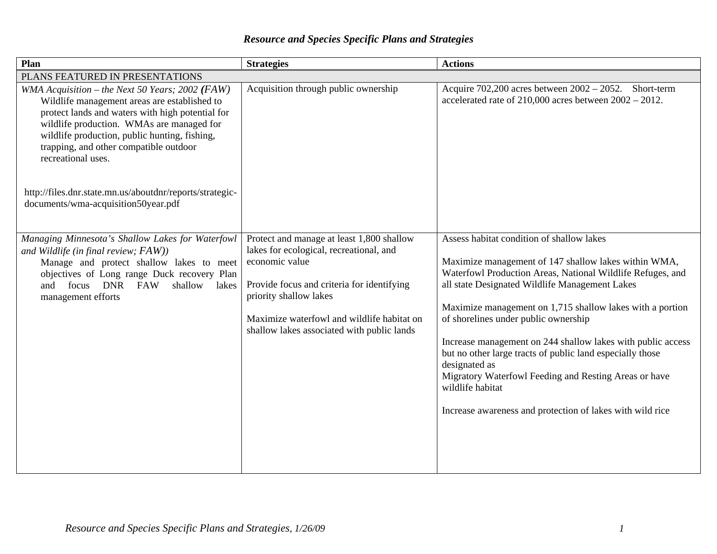## *Resource and Species Specific Plans and Strategies*

| Plan                                                                                                                                                                                                                                                                                                              | <b>Strategies</b>                                                                                                                                                                                                                                                          | <b>Actions</b>                                                                                                                                                                                                                                                                                                                                                                                                                                                                                                                                                                                                |  |
|-------------------------------------------------------------------------------------------------------------------------------------------------------------------------------------------------------------------------------------------------------------------------------------------------------------------|----------------------------------------------------------------------------------------------------------------------------------------------------------------------------------------------------------------------------------------------------------------------------|---------------------------------------------------------------------------------------------------------------------------------------------------------------------------------------------------------------------------------------------------------------------------------------------------------------------------------------------------------------------------------------------------------------------------------------------------------------------------------------------------------------------------------------------------------------------------------------------------------------|--|
| PLANS FEATURED IN PRESENTATIONS                                                                                                                                                                                                                                                                                   |                                                                                                                                                                                                                                                                            |                                                                                                                                                                                                                                                                                                                                                                                                                                                                                                                                                                                                               |  |
| WMA Acquisition - the Next 50 Years; 2002 (FAW)<br>Wildlife management areas are established to<br>protect lands and waters with high potential for<br>wildlife production. WMAs are managed for<br>wildlife production, public hunting, fishing,<br>trapping, and other compatible outdoor<br>recreational uses. | Acquisition through public ownership                                                                                                                                                                                                                                       | Acquire $702,200$ acres between $2002 - 2052$ . Short-term<br>accelerated rate of $210,000$ acres between $2002 - 2012$ .                                                                                                                                                                                                                                                                                                                                                                                                                                                                                     |  |
| http://files.dnr.state.mn.us/aboutdnr/reports/strategic-<br>documents/wma-acquisition50year.pdf                                                                                                                                                                                                                   |                                                                                                                                                                                                                                                                            |                                                                                                                                                                                                                                                                                                                                                                                                                                                                                                                                                                                                               |  |
| Managing Minnesota's Shallow Lakes for Waterfowl<br>and Wildlife (in final review; FAW))<br>Manage and protect shallow lakes to meet<br>objectives of Long range Duck recovery Plan<br>and focus DNR FAW<br>shallow<br>lakes<br>management efforts                                                                | Protect and manage at least 1,800 shallow<br>lakes for ecological, recreational, and<br>economic value<br>Provide focus and criteria for identifying<br>priority shallow lakes<br>Maximize waterfowl and wildlife habitat on<br>shallow lakes associated with public lands | Assess habitat condition of shallow lakes<br>Maximize management of 147 shallow lakes within WMA,<br>Waterfowl Production Areas, National Wildlife Refuges, and<br>all state Designated Wildlife Management Lakes<br>Maximize management on 1,715 shallow lakes with a portion<br>of shorelines under public ownership<br>Increase management on 244 shallow lakes with public access<br>but no other large tracts of public land especially those<br>designated as<br>Migratory Waterfowl Feeding and Resting Areas or have<br>wildlife habitat<br>Increase awareness and protection of lakes with wild rice |  |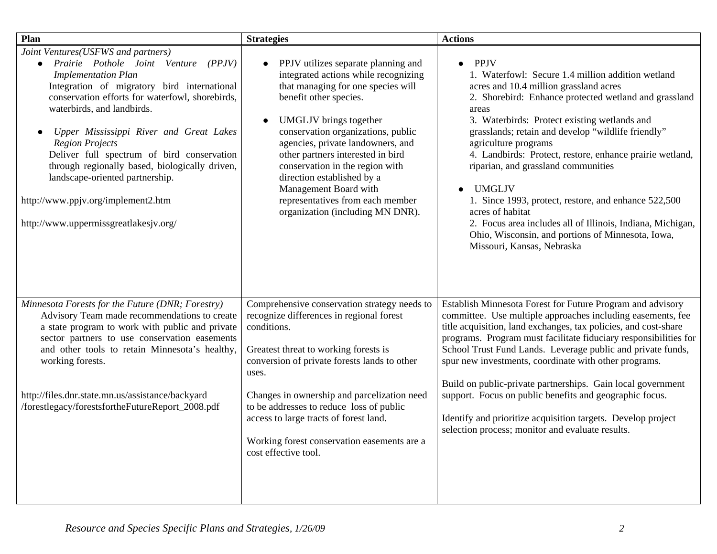| Plan                                                                                                                                                                                                                                                                                                                                                                                                                                                                                                                            | <b>Strategies</b>                                                                                                                                                                                                                                                                                                                                                                                                                                              | <b>Actions</b>                                                                                                                                                                                                                                                                                                                                                                                                                                                                                                                                                                                                                                                           |
|---------------------------------------------------------------------------------------------------------------------------------------------------------------------------------------------------------------------------------------------------------------------------------------------------------------------------------------------------------------------------------------------------------------------------------------------------------------------------------------------------------------------------------|----------------------------------------------------------------------------------------------------------------------------------------------------------------------------------------------------------------------------------------------------------------------------------------------------------------------------------------------------------------------------------------------------------------------------------------------------------------|--------------------------------------------------------------------------------------------------------------------------------------------------------------------------------------------------------------------------------------------------------------------------------------------------------------------------------------------------------------------------------------------------------------------------------------------------------------------------------------------------------------------------------------------------------------------------------------------------------------------------------------------------------------------------|
| Joint Ventures(USFWS and partners)<br>Prairie Pothole Joint Venture (PPJV)<br><b>Implementation Plan</b><br>Integration of migratory bird international<br>conservation efforts for waterfowl, shorebirds,<br>waterbirds, and landbirds.<br>Upper Mississippi River and Great Lakes<br><b>Region Projects</b><br>Deliver full spectrum of bird conservation<br>through regionally based, biologically driven,<br>landscape-oriented partnership.<br>http://www.ppjv.org/implement2.htm<br>http://www.uppermissgreatlakesjv.org/ | PPJV utilizes separate planning and<br>integrated actions while recognizing<br>that managing for one species will<br>benefit other species.<br><b>UMGLJV</b> brings together<br>conservation organizations, public<br>agencies, private landowners, and<br>other partners interested in bird<br>conservation in the region with<br>direction established by a<br>Management Board with<br>representatives from each member<br>organization (including MN DNR). | <b>PPJV</b><br>$\bullet$<br>1. Waterfowl: Secure 1.4 million addition wetland<br>acres and 10.4 million grassland acres<br>2. Shorebird: Enhance protected wetland and grassland<br>areas<br>3. Waterbirds: Protect existing wetlands and<br>grasslands; retain and develop "wildlife friendly"<br>agriculture programs<br>4. Landbirds: Protect, restore, enhance prairie wetland,<br>riparian, and grassland communities<br><b>UMGLJV</b><br>1. Since 1993, protect, restore, and enhance 522,500<br>acres of habitat<br>2. Focus area includes all of Illinois, Indiana, Michigan,<br>Ohio, Wisconsin, and portions of Minnesota, Iowa,<br>Missouri, Kansas, Nebraska |
| Minnesota Forests for the Future (DNR; Forestry)<br>Advisory Team made recommendations to create<br>a state program to work with public and private<br>sector partners to use conservation easements<br>and other tools to retain Minnesota's healthy,<br>working forests.<br>http://files.dnr.state.mn.us/assistance/backyard<br>/forestlegacy/forestsfortheFutureReport_2008.pdf                                                                                                                                              | Comprehensive conservation strategy needs to<br>recognize differences in regional forest<br>conditions.<br>Greatest threat to working forests is<br>conversion of private forests lands to other<br>uses.<br>Changes in ownership and parcelization need<br>to be addresses to reduce loss of public<br>access to large tracts of forest land.<br>Working forest conservation easements are a<br>cost effective tool.                                          | Establish Minnesota Forest for Future Program and advisory<br>committee. Use multiple approaches including easements, fee<br>title acquisition, land exchanges, tax policies, and cost-share<br>programs. Program must facilitate fiduciary responsibilities for<br>School Trust Fund Lands. Leverage public and private funds,<br>spur new investments, coordinate with other programs.<br>Build on public-private partnerships. Gain local government<br>support. Focus on public benefits and geographic focus.<br>Identify and prioritize acquisition targets. Develop project<br>selection process; monitor and evaluate results.                                   |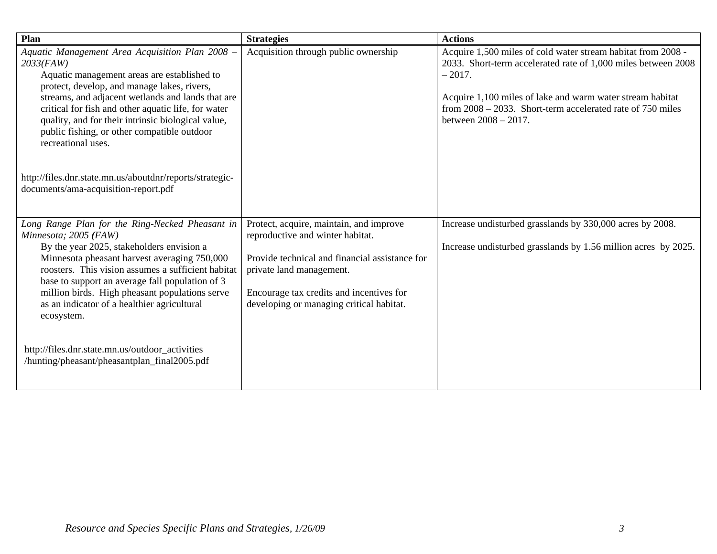| Plan                                                                                                                                                                                                                                                                                                                                                                                                 | <b>Strategies</b>                                                                                                                                                                                                                                 | <b>Actions</b>                                                                                                                                                                                                                                                                                  |
|------------------------------------------------------------------------------------------------------------------------------------------------------------------------------------------------------------------------------------------------------------------------------------------------------------------------------------------------------------------------------------------------------|---------------------------------------------------------------------------------------------------------------------------------------------------------------------------------------------------------------------------------------------------|-------------------------------------------------------------------------------------------------------------------------------------------------------------------------------------------------------------------------------------------------------------------------------------------------|
| Aquatic Management Area Acquisition Plan 2008 -<br>$2033$ (FAW)<br>Aquatic management areas are established to<br>protect, develop, and manage lakes, rivers,<br>streams, and adjacent wetlands and lands that are<br>critical for fish and other aquatic life, for water<br>quality, and for their intrinsic biological value,<br>public fishing, or other compatible outdoor<br>recreational uses. | Acquisition through public ownership                                                                                                                                                                                                              | Acquire 1,500 miles of cold water stream habitat from 2008 -<br>2033. Short-term accelerated rate of 1,000 miles between 2008<br>$-2017.$<br>Acquire 1,100 miles of lake and warm water stream habitat<br>from $2008 - 2033$ . Short-term accelerated rate of 750 miles<br>between 2008 - 2017. |
| http://files.dnr.state.mn.us/aboutdnr/reports/strategic-<br>documents/ama-acquisition-report.pdf                                                                                                                                                                                                                                                                                                     |                                                                                                                                                                                                                                                   |                                                                                                                                                                                                                                                                                                 |
| Long Range Plan for the Ring-Necked Pheasant in<br>Minnesota; 2005 (FAW)<br>By the year 2025, stakeholders envision a<br>Minnesota pheasant harvest averaging 750,000<br>roosters. This vision assumes a sufficient habitat<br>base to support an average fall population of 3<br>million birds. High pheasant populations serve<br>as an indicator of a healthier agricultural<br>ecosystem.        | Protect, acquire, maintain, and improve<br>reproductive and winter habitat.<br>Provide technical and financial assistance for<br>private land management.<br>Encourage tax credits and incentives for<br>developing or managing critical habitat. | Increase undisturbed grasslands by 330,000 acres by 2008.<br>Increase undisturbed grasslands by 1.56 million acres by 2025.                                                                                                                                                                     |
| http://files.dnr.state.mn.us/outdoor_activities<br>/hunting/pheasant/pheasantplan_final2005.pdf                                                                                                                                                                                                                                                                                                      |                                                                                                                                                                                                                                                   |                                                                                                                                                                                                                                                                                                 |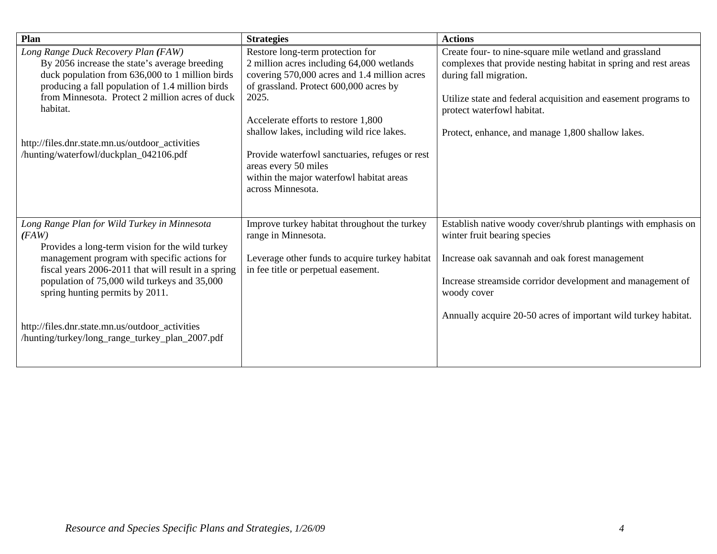| Plan                                                                                                                                                                                                                                                                                                                                                                                                     | <b>Strategies</b>                                                                                                                                                                                                                                                                                                                                                                                               | <b>Actions</b>                                                                                                                                                                                                                                                                                           |
|----------------------------------------------------------------------------------------------------------------------------------------------------------------------------------------------------------------------------------------------------------------------------------------------------------------------------------------------------------------------------------------------------------|-----------------------------------------------------------------------------------------------------------------------------------------------------------------------------------------------------------------------------------------------------------------------------------------------------------------------------------------------------------------------------------------------------------------|----------------------------------------------------------------------------------------------------------------------------------------------------------------------------------------------------------------------------------------------------------------------------------------------------------|
| Long Range Duck Recovery Plan (FAW)<br>By 2056 increase the state's average breeding<br>duck population from 636,000 to 1 million birds<br>producing a fall population of 1.4 million birds<br>from Minnesota. Protect 2 million acres of duck<br>habitat.<br>http://files.dnr.state.mn.us/outdoor_activities<br>/hunting/waterfowl/duckplan_042106.pdf                                                  | Restore long-term protection for<br>2 million acres including 64,000 wetlands<br>covering 570,000 acres and 1.4 million acres<br>of grassland. Protect 600,000 acres by<br>2025.<br>Accelerate efforts to restore 1,800<br>shallow lakes, including wild rice lakes.<br>Provide waterfowl sanctuaries, refuges or rest<br>areas every 50 miles<br>within the major waterfowl habitat areas<br>across Minnesota. | Create four- to nine-square mile wetland and grassland<br>complexes that provide nesting habitat in spring and rest areas<br>during fall migration.<br>Utilize state and federal acquisition and easement programs to<br>protect waterfowl habitat.<br>Protect, enhance, and manage 1,800 shallow lakes. |
| Long Range Plan for Wild Turkey in Minnesota<br>(FAW)<br>Provides a long-term vision for the wild turkey<br>management program with specific actions for<br>fiscal years 2006-2011 that will result in a spring<br>population of 75,000 wild turkeys and 35,000<br>spring hunting permits by 2011.<br>http://files.dnr.state.mn.us/outdoor_activities<br>/hunting/turkey/long_range_turkey_plan_2007.pdf | Improve turkey habitat throughout the turkey<br>range in Minnesota.<br>Leverage other funds to acquire turkey habitat<br>in fee title or perpetual easement.                                                                                                                                                                                                                                                    | Establish native woody cover/shrub plantings with emphasis on<br>winter fruit bearing species<br>Increase oak savannah and oak forest management<br>Increase streamside corridor development and management of<br>woody cover<br>Annually acquire 20-50 acres of important wild turkey habitat.          |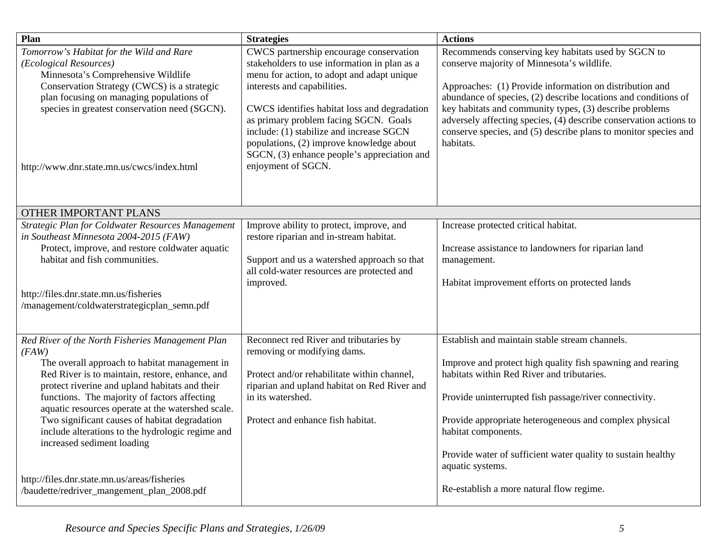| Plan                                                                                                                                                                                                                                                                                                                                                                                                                                                                                                    | <b>Strategies</b>                                                                                                                                                                                                                                                                                                                                                                                                          | <b>Actions</b>                                                                                                                                                                                                                                                                                                                                                                                                                                |
|---------------------------------------------------------------------------------------------------------------------------------------------------------------------------------------------------------------------------------------------------------------------------------------------------------------------------------------------------------------------------------------------------------------------------------------------------------------------------------------------------------|----------------------------------------------------------------------------------------------------------------------------------------------------------------------------------------------------------------------------------------------------------------------------------------------------------------------------------------------------------------------------------------------------------------------------|-----------------------------------------------------------------------------------------------------------------------------------------------------------------------------------------------------------------------------------------------------------------------------------------------------------------------------------------------------------------------------------------------------------------------------------------------|
| Tomorrow's Habitat for the Wild and Rare<br>(Ecological Resources)<br>Minnesota's Comprehensive Wildlife<br>Conservation Strategy (CWCS) is a strategic<br>plan focusing on managing populations of<br>species in greatest conservation need (SGCN).<br>http://www.dnr.state.mn.us/cwcs/index.html                                                                                                                                                                                                      | CWCS partnership encourage conservation<br>stakeholders to use information in plan as a<br>menu for action, to adopt and adapt unique<br>interests and capabilities.<br>CWCS identifies habitat loss and degradation<br>as primary problem facing SGCN. Goals<br>include: (1) stabilize and increase SGCN<br>populations, (2) improve knowledge about<br>SGCN, (3) enhance people's appreciation and<br>enjoyment of SGCN. | Recommends conserving key habitats used by SGCN to<br>conserve majority of Minnesota's wildlife.<br>Approaches: (1) Provide information on distribution and<br>abundance of species, (2) describe locations and conditions of<br>key habitats and community types, (3) describe problems<br>adversely affecting species, (4) describe conservation actions to<br>conserve species, and (5) describe plans to monitor species and<br>habitats. |
| OTHER IMPORTANT PLANS                                                                                                                                                                                                                                                                                                                                                                                                                                                                                   |                                                                                                                                                                                                                                                                                                                                                                                                                            |                                                                                                                                                                                                                                                                                                                                                                                                                                               |
| Strategic Plan for Coldwater Resources Management<br>in Southeast Minnesota 2004-2015 (FAW)<br>Protect, improve, and restore coldwater aquatic<br>habitat and fish communities.<br>http://files.dnr.state.mn.us/fisheries<br>/management/coldwaterstrategicplan_semn.pdf                                                                                                                                                                                                                                | Improve ability to protect, improve, and<br>restore riparian and in-stream habitat.<br>Support and us a watershed approach so that<br>all cold-water resources are protected and<br>improved.                                                                                                                                                                                                                              | Increase protected critical habitat.<br>Increase assistance to landowners for riparian land<br>management.<br>Habitat improvement efforts on protected lands                                                                                                                                                                                                                                                                                  |
| Red River of the North Fisheries Management Plan<br>(FAW)<br>The overall approach to habitat management in<br>Red River is to maintain, restore, enhance, and<br>protect riverine and upland habitats and their<br>functions. The majority of factors affecting<br>aquatic resources operate at the watershed scale.<br>Two significant causes of habitat degradation<br>include alterations to the hydrologic regime and<br>increased sediment loading<br>http://files.dnr.state.mn.us/areas/fisheries | Reconnect red River and tributaries by<br>removing or modifying dams.<br>Protect and/or rehabilitate within channel,<br>riparian and upland habitat on Red River and<br>in its watershed.<br>Protect and enhance fish habitat.                                                                                                                                                                                             | Establish and maintain stable stream channels.<br>Improve and protect high quality fish spawning and rearing<br>habitats within Red River and tributaries.<br>Provide uninterrupted fish passage/river connectivity.<br>Provide appropriate heterogeneous and complex physical<br>habitat components.<br>Provide water of sufficient water quality to sustain healthy<br>aquatic systems.                                                     |
| /baudette/redriver_mangement_plan_2008.pdf                                                                                                                                                                                                                                                                                                                                                                                                                                                              |                                                                                                                                                                                                                                                                                                                                                                                                                            | Re-establish a more natural flow regime.                                                                                                                                                                                                                                                                                                                                                                                                      |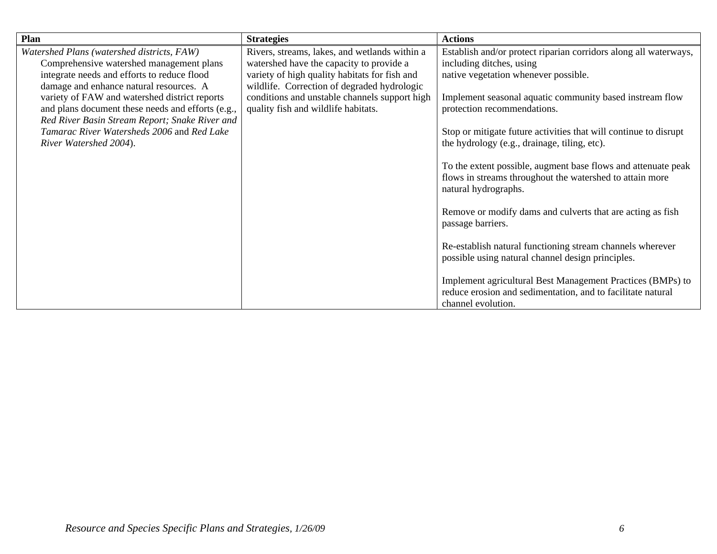| Plan                                              | <b>Strategies</b>                             | <b>Actions</b>                                                                                                                                    |
|---------------------------------------------------|-----------------------------------------------|---------------------------------------------------------------------------------------------------------------------------------------------------|
| Watershed Plans (watershed districts, FAW)        | Rivers, streams, lakes, and wetlands within a | Establish and/or protect riparian corridors along all waterways,                                                                                  |
| Comprehensive watershed management plans          | watershed have the capacity to provide a      | including ditches, using                                                                                                                          |
| integrate needs and efforts to reduce flood       | variety of high quality habitats for fish and | native vegetation whenever possible.                                                                                                              |
| damage and enhance natural resources. A           | wildlife. Correction of degraded hydrologic   |                                                                                                                                                   |
| variety of FAW and watershed district reports     | conditions and unstable channels support high | Implement seasonal aquatic community based instream flow                                                                                          |
| and plans document these needs and efforts (e.g., | quality fish and wildlife habitats.           | protection recommendations.                                                                                                                       |
| Red River Basin Stream Report; Snake River and    |                                               |                                                                                                                                                   |
| Tamarac River Watersheds 2006 and Red Lake        |                                               | Stop or mitigate future activities that will continue to disrupt                                                                                  |
| River Watershed 2004).                            |                                               | the hydrology (e.g., drainage, tiling, etc).                                                                                                      |
|                                                   |                                               | To the extent possible, augment base flows and attenuate peak<br>flows in streams throughout the watershed to attain more<br>natural hydrographs. |
|                                                   |                                               | Remove or modify dams and culverts that are acting as fish<br>passage barriers.                                                                   |
|                                                   |                                               | Re-establish natural functioning stream channels wherever<br>possible using natural channel design principles.                                    |
|                                                   |                                               | Implement agricultural Best Management Practices (BMPs) to<br>reduce erosion and sedimentation, and to facilitate natural<br>channel evolution.   |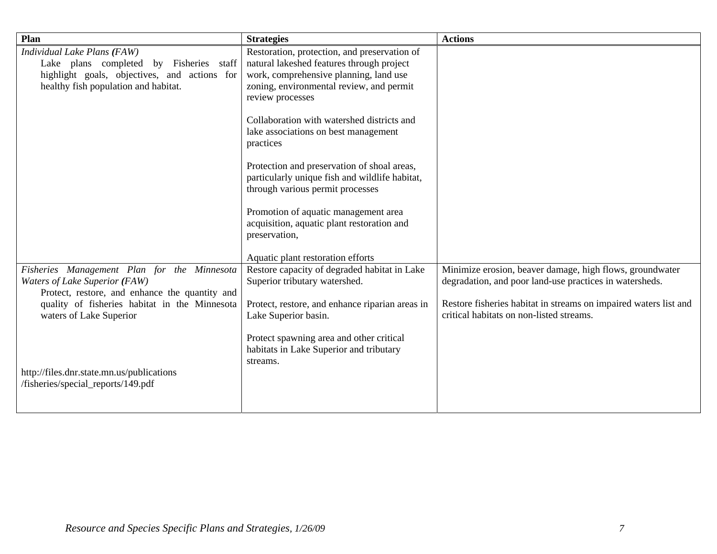| Plan                                                                                                                                                           | <b>Strategies</b>                                                                                                                                                                                   | <b>Actions</b>                                                                                                      |
|----------------------------------------------------------------------------------------------------------------------------------------------------------------|-----------------------------------------------------------------------------------------------------------------------------------------------------------------------------------------------------|---------------------------------------------------------------------------------------------------------------------|
| Individual Lake Plans (FAW)<br>Lake plans completed by Fisheries staff<br>highlight goals, objectives, and actions for<br>healthy fish population and habitat. | Restoration, protection, and preservation of<br>natural lakeshed features through project<br>work, comprehensive planning, land use<br>zoning, environmental review, and permit<br>review processes |                                                                                                                     |
|                                                                                                                                                                | Collaboration with watershed districts and<br>lake associations on best management<br>practices                                                                                                     |                                                                                                                     |
|                                                                                                                                                                | Protection and preservation of shoal areas,<br>particularly unique fish and wildlife habitat,<br>through various permit processes                                                                   |                                                                                                                     |
|                                                                                                                                                                | Promotion of aquatic management area<br>acquisition, aquatic plant restoration and<br>preservation,                                                                                                 |                                                                                                                     |
|                                                                                                                                                                | Aquatic plant restoration efforts                                                                                                                                                                   |                                                                                                                     |
| Fisheries Management Plan for the Minnesota<br>Waters of Lake Superior (FAW)<br>Protect, restore, and enhance the quantity and                                 | Restore capacity of degraded habitat in Lake<br>Superior tributary watershed.                                                                                                                       | Minimize erosion, beaver damage, high flows, groundwater<br>degradation, and poor land-use practices in watersheds. |
| quality of fisheries habitat in the Minnesota<br>waters of Lake Superior                                                                                       | Protect, restore, and enhance riparian areas in<br>Lake Superior basin.                                                                                                                             | Restore fisheries habitat in streams on impaired waters list and<br>critical habitats on non-listed streams.        |
|                                                                                                                                                                | Protect spawning area and other critical<br>habitats in Lake Superior and tributary<br>streams.                                                                                                     |                                                                                                                     |
| http://files.dnr.state.mn.us/publications<br>/fisheries/special_reports/149.pdf                                                                                |                                                                                                                                                                                                     |                                                                                                                     |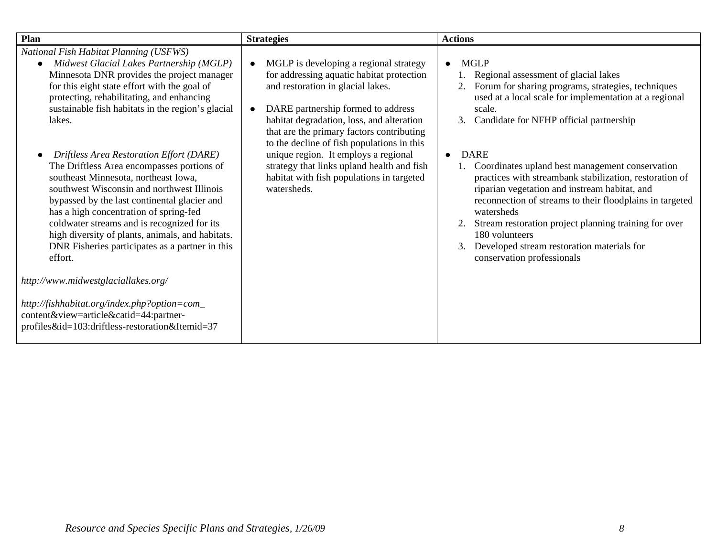| Plan                                                                                                                                                                                                                                                                                                                                                                                                                                                                                                                                                                                                                                                                                                                                                                                                                                                                                                                                     | <b>Strategies</b>                                                                                                                                                                                                                                                                                                                                                                                                                                        | <b>Actions</b>                                                                                                                                                                                                                                                                                                                                                                                                                                                                                                                                                                                                                                                                   |
|------------------------------------------------------------------------------------------------------------------------------------------------------------------------------------------------------------------------------------------------------------------------------------------------------------------------------------------------------------------------------------------------------------------------------------------------------------------------------------------------------------------------------------------------------------------------------------------------------------------------------------------------------------------------------------------------------------------------------------------------------------------------------------------------------------------------------------------------------------------------------------------------------------------------------------------|----------------------------------------------------------------------------------------------------------------------------------------------------------------------------------------------------------------------------------------------------------------------------------------------------------------------------------------------------------------------------------------------------------------------------------------------------------|----------------------------------------------------------------------------------------------------------------------------------------------------------------------------------------------------------------------------------------------------------------------------------------------------------------------------------------------------------------------------------------------------------------------------------------------------------------------------------------------------------------------------------------------------------------------------------------------------------------------------------------------------------------------------------|
| National Fish Habitat Planning (USFWS)<br>Midwest Glacial Lakes Partnership (MGLP)<br>$\bullet$<br>Minnesota DNR provides the project manager<br>for this eight state effort with the goal of<br>protecting, rehabilitating, and enhancing<br>sustainable fish habitats in the region's glacial<br>lakes.<br>Driftless Area Restoration Effort (DARE)<br>The Driftless Area encompasses portions of<br>southeast Minnesota, northeast Iowa,<br>southwest Wisconsin and northwest Illinois<br>bypassed by the last continental glacier and<br>has a high concentration of spring-fed<br>coldwater streams and is recognized for its<br>high diversity of plants, animals, and habitats.<br>DNR Fisheries participates as a partner in this<br>effort.<br>http://www.midwestglaciallakes.org/<br>http://fishhabitat.org/index.php?option=com_<br>content&view=article&catid=44:partner-<br>profiles&id=103:driftless-restoration&Itemid=37 | MGLP is developing a regional strategy<br>for addressing aquatic habitat protection<br>and restoration in glacial lakes.<br>DARE partnership formed to address<br>habitat degradation, loss, and alteration<br>that are the primary factors contributing<br>to the decline of fish populations in this<br>unique region. It employs a regional<br>strategy that links upland health and fish<br>habitat with fish populations in targeted<br>watersheds. | <b>MGLP</b><br>$\bullet$<br>Regional assessment of glacial lakes<br>Forum for sharing programs, strategies, techniques<br>used at a local scale for implementation at a regional<br>scale.<br>Candidate for NFHP official partnership<br>3.<br><b>DARE</b><br>$\bullet$<br>1. Coordinates upland best management conservation<br>practices with streambank stabilization, restoration of<br>riparian vegetation and instream habitat, and<br>reconnection of streams to their floodplains in targeted<br>watersheds<br>Stream restoration project planning training for over<br>180 volunteers<br>Developed stream restoration materials for<br>3.<br>conservation professionals |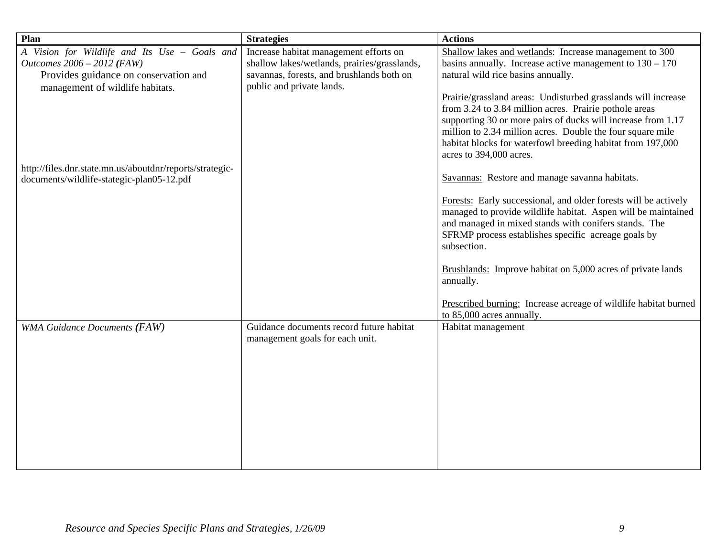| Plan                                                                                                                                                     | <b>Strategies</b>                                                                                                                                                | <b>Actions</b>                                                                                                                                                                                                                                                                                                                                 |
|----------------------------------------------------------------------------------------------------------------------------------------------------------|------------------------------------------------------------------------------------------------------------------------------------------------------------------|------------------------------------------------------------------------------------------------------------------------------------------------------------------------------------------------------------------------------------------------------------------------------------------------------------------------------------------------|
| A Vision for Wildlife and Its Use - Goals and<br>Outcomes 2006 - 2012 (FAW)<br>Provides guidance on conservation and<br>management of wildlife habitats. | Increase habitat management efforts on<br>shallow lakes/wetlands, prairies/grasslands,<br>savannas, forests, and brushlands both on<br>public and private lands. | Shallow lakes and wetlands: Increase management to 300<br>basins annually. Increase active management to $130 - 170$<br>natural wild rice basins annually.                                                                                                                                                                                     |
|                                                                                                                                                          |                                                                                                                                                                  | Prairie/grassland areas: Undisturbed grasslands will increase<br>from 3.24 to 3.84 million acres. Prairie pothole areas<br>supporting 30 or more pairs of ducks will increase from 1.17<br>million to 2.34 million acres. Double the four square mile<br>habitat blocks for waterfowl breeding habitat from 197,000<br>acres to 394,000 acres. |
| http://files.dnr.state.mn.us/aboutdnr/reports/strategic-<br>documents/wildlife-stategic-plan05-12.pdf                                                    |                                                                                                                                                                  | Savannas: Restore and manage savanna habitats.                                                                                                                                                                                                                                                                                                 |
|                                                                                                                                                          |                                                                                                                                                                  | Forests: Early successional, and older forests will be actively<br>managed to provide wildlife habitat. Aspen will be maintained<br>and managed in mixed stands with conifers stands. The<br>SFRMP process establishes specific acreage goals by<br>subsection.                                                                                |
|                                                                                                                                                          |                                                                                                                                                                  | Brushlands: Improve habitat on 5,000 acres of private lands<br>annually.                                                                                                                                                                                                                                                                       |
|                                                                                                                                                          |                                                                                                                                                                  | Prescribed burning: Increase acreage of wildlife habitat burned<br>to 85,000 acres annually.                                                                                                                                                                                                                                                   |
| <b>WMA Guidance Documents (FAW)</b>                                                                                                                      | Guidance documents record future habitat<br>management goals for each unit.                                                                                      | Habitat management                                                                                                                                                                                                                                                                                                                             |
|                                                                                                                                                          |                                                                                                                                                                  |                                                                                                                                                                                                                                                                                                                                                |
|                                                                                                                                                          |                                                                                                                                                                  |                                                                                                                                                                                                                                                                                                                                                |
|                                                                                                                                                          |                                                                                                                                                                  |                                                                                                                                                                                                                                                                                                                                                |